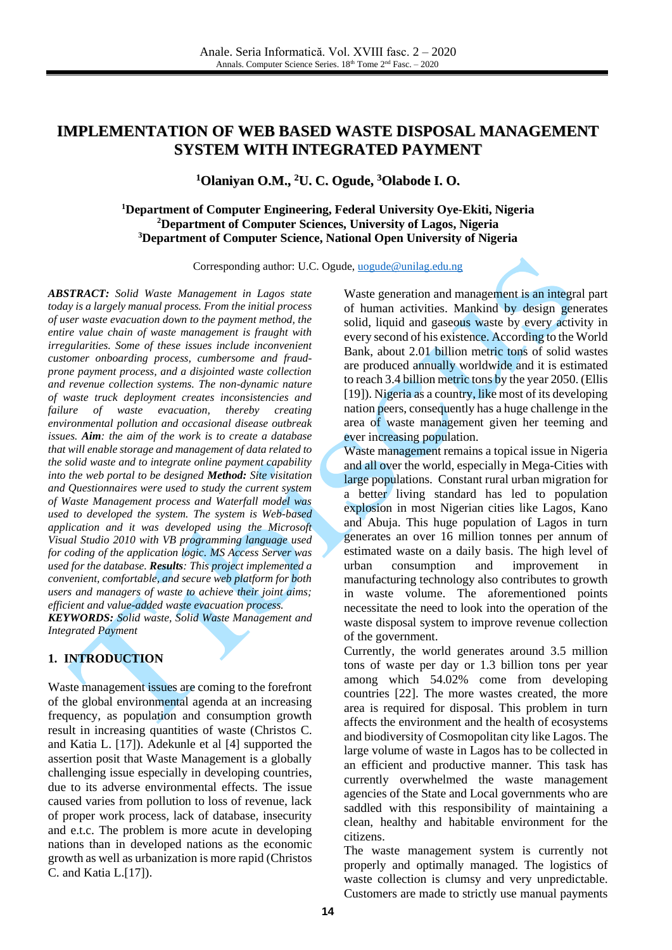# **IMPLEMENTATION OF WEB BASED WASTE DISPOSAL MANAGEMENT SYSTEM WITH INTEGRATED PAYMENT**

**<sup>1</sup>Olaniyan O.M., <sup>2</sup>U. C. Ogude, <sup>3</sup>Olabode I. O.**

## **<sup>1</sup>Department of Computer Engineering, Federal University Oye-Ekiti, Nigeria <sup>2</sup>Department of Computer Sciences, University of Lagos, Nigeria <sup>3</sup>Department of Computer Science, National Open University of Nigeria**

Corresponding author: U.C. Ogude, [uogude@unilag.edu.ng](mailto:uogude@unilag.edu.ng)

*ABSTRACT: Solid Waste Management in Lagos state today is a largely manual process. From the initial process of user waste evacuation down to the payment method, the entire value chain of waste management is fraught with irregularities. Some of these issues include inconvenient customer onboarding process, cumbersome and fraudprone payment process, and a disjointed waste collection and revenue collection systems. The non-dynamic nature of waste truck deployment creates inconsistencies and failure of waste evacuation, thereby creating environmental pollution and occasional disease outbreak issues. Aim: the aim of the work is to create a database that will enable storage and management of data related to the solid waste and to integrate online payment capability into the web portal to be designed Method: Site visitation and Questionnaires were used to study the current system of Waste Management process and Waterfall model was used to developed the system. The system is Web-based application and it was developed using the Microsoft Visual Studio 2010 with VB programming language used for coding of the application logic. MS Access Server was used for the database. Results: This project implemented a convenient, comfortable, and secure web platform for both users and managers of waste to achieve their joint aims; efficient and value-added waste evacuation process. KEYWORDS: Solid waste, Solid Waste Management and Integrated Payment*

## **1. INTRODUCTION**

Waste management issues are coming to the forefront of the global environmental agenda at an increasing frequency, as population and consumption growth result in increasing quantities of waste (Christos C. and Katia L. [\[17\]\)](#page-7-0). Adekunle et al [\[4\]](#page-6-0) supported the assertion posit that Waste Management is a globally challenging issue especially in developing countries, due to its adverse environmental effects. The issue caused varies from pollution to loss of revenue, lack of proper work process, lack of database, insecurity and e.t.c. The problem is more acute in developing nations than in developed nations as the economic growth as well as urbanization is more rapid (Christos C. and Katia L[.\[17\]\)](#page-7-0).

Waste generation and management is an integral part of human activities. Mankind by design generates solid, liquid and gaseous waste by every activity in every second of his existence. According to the World Bank, about 2.01 billion metric tons of solid wastes are produced annually worldwide and it is estimated to reach 3.4 billion metric tons by the year 2050. (Ellis [\[19\]\)](#page-7-1). Nigeria as a country, like most of its developing nation peers, consequently has a huge challenge in the area of waste management given her teeming and ever increasing population.

Waste management remains a topical issue in Nigeria and all over the world, especially in Mega-Cities with large populations. Constant rural urban migration for a better living standard has led to population explosion in most Nigerian cities like Lagos, Kano and Abuja. This huge population of Lagos in turn generates an over 16 million tonnes per annum of estimated waste on a daily basis. The high level of urban consumption and improvement in manufacturing technology also contributes to growth in waste volume. The aforementioned points necessitate the need to look into the operation of the waste disposal system to improve revenue collection of the government.

Currently, the world generates around 3.5 million tons of waste per day or 1.3 billion tons per year among which 54.02% come from developing countries [\[22\].](#page-7-2) The more wastes created, the more area is required for disposal. This problem in turn affects the environment and the health of ecosystems and biodiversity of Cosmopolitan city like Lagos. The large volume of waste in Lagos has to be collected in an efficient and productive manner. This task has currently overwhelmed the waste management agencies of the State and Local governments who are saddled with this responsibility of maintaining a clean, healthy and habitable environment for the citizens.

The waste management system is currently not properly and optimally managed. The logistics of waste collection is clumsy and very unpredictable. Customers are made to strictly use manual payments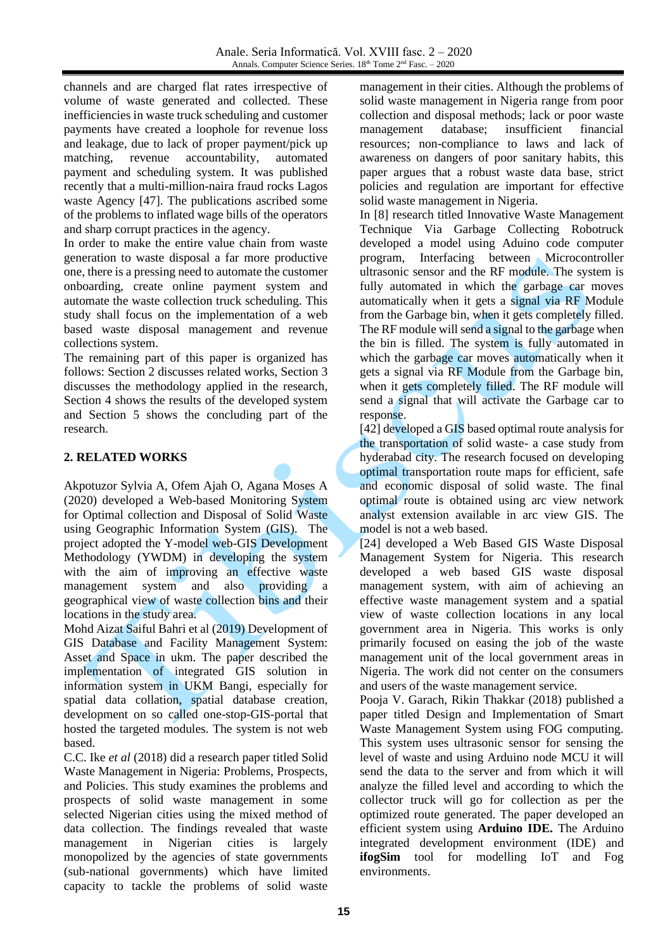channels and are charged flat rates irrespective of volume of waste generated and collected. These inefficiencies in waste truck scheduling and customer payments have created a loophole for revenue loss and leakage, due to lack of proper payment/pick up matching, revenue accountability, automated payment and scheduling system. It was published recently that a multi-million-naira fraud rocks Lagos waste Agency [\[47\].](#page-8-0) The publications ascribed some of the problems to inflated wage bills of the operators and sharp corrupt practices in the agency.

In order to make the entire value chain from waste generation to waste disposal a far more productive one, there is a pressing need to automate the customer onboarding, create online payment system and automate the waste collection truck scheduling. This study shall focus on the implementation of a web based waste disposal management and revenue collections system.

The remaining part of this paper is organized has follows: Section 2 discusses related works, Section 3 discusses the methodology applied in the research, Section 4 shows the results of the developed system and Section 5 shows the concluding part of the research.

## **2. RELATED WORKS**

Akpotuzor Sylvia A, Ofem Ajah O, Agana Moses A (2020) developed a Web-based Monitoring System for Optimal collection and Disposal of Solid Waste using Geographic Information System (GIS). The project adopted the Y-model web-GIS Development Methodology (YWDM) in developing the system with the aim of improving an effective waste management system and also providing a geographical view of waste collection bins and their locations in the study area.

Mohd Aizat Saiful Bahri et al (2019) Development of GIS Database and Facility Management System: Asset and Space in ukm. The paper described the implementation of integrated GIS solution in information system in UKM Bangi, especially for spatial data collation, spatial database creation, development on so called one-stop-GIS-portal that hosted the targeted modules. The system is not web based.

C.C. Ike *et al* (2018) did a research paper titled Solid Waste Management in Nigeria: Problems, Prospects, and Policies. This study examines the problems and prospects of solid waste management in some selected Nigerian cities using the mixed method of data collection. The findings revealed that waste management in Nigerian cities is largely monopolized by the agencies of state governments (sub-national governments) which have limited capacity to tackle the problems of solid waste

management in their cities. Although the problems of solid waste management in Nigeria range from poor collection and disposal methods; lack or poor waste management database; insufficient financial resources; non-compliance to laws and lack of awareness on dangers of poor sanitary habits, this paper argues that a robust waste data base, strict policies and regulation are important for effective solid waste management in Nigeria.

In [\[8\]](#page-6-1) research titled Innovative Waste Management Technique Via Garbage Collecting Robotruck developed a model using Aduino code computer program, Interfacing between Microcontroller ultrasonic sensor and the RF module. The system is fully automated in which the garbage car moves automatically when it gets a signal via RF Module from the Garbage bin, when it gets completely filled. The RF module will send a signal to the garbage when the bin is filled. The system is fully automated in which the garbage car moves automatically when it gets a signal via RF Module from the Garbage bin, when it gets completely filled. The RF module will send a signal that will activate the Garbage car to response.

[\[42\]](#page-8-1) developed a GIS based optimal route analysis for the transportation of solid waste- a case study from hyderabad city. The research focused on developing optimal transportation route maps for efficient, safe and economic disposal of solid waste. The final optimal route is obtained using arc view network analyst extension available in arc view GIS. The model is not a web based.

[\[24\]](#page-7-3) developed a Web Based GIS Waste Disposal Management System for Nigeria. This research developed a web based GIS waste disposal management system, with aim of achieving an effective waste management system and a spatial view of waste collection locations in any local government area in Nigeria. This works is only primarily focused on easing the job of the waste management unit of the local government areas in Nigeria. The work did not center on the consumers and users of the waste management service.

Pooja V. Garach, Rikin Thakkar (2018) published a paper titled Design and Implementation of Smart Waste Management System using FOG computing. This system uses ultrasonic sensor for sensing the level of waste and using Arduino node MCU it will send the data to the server and from which it will analyze the filled level and according to which the collector truck will go for collection as per the optimized route generated. The paper developed an efficient system using **Arduino IDE.** The Arduino integrated development environment (IDE) and **ifogSim** tool for modelling IoT and Fog environments.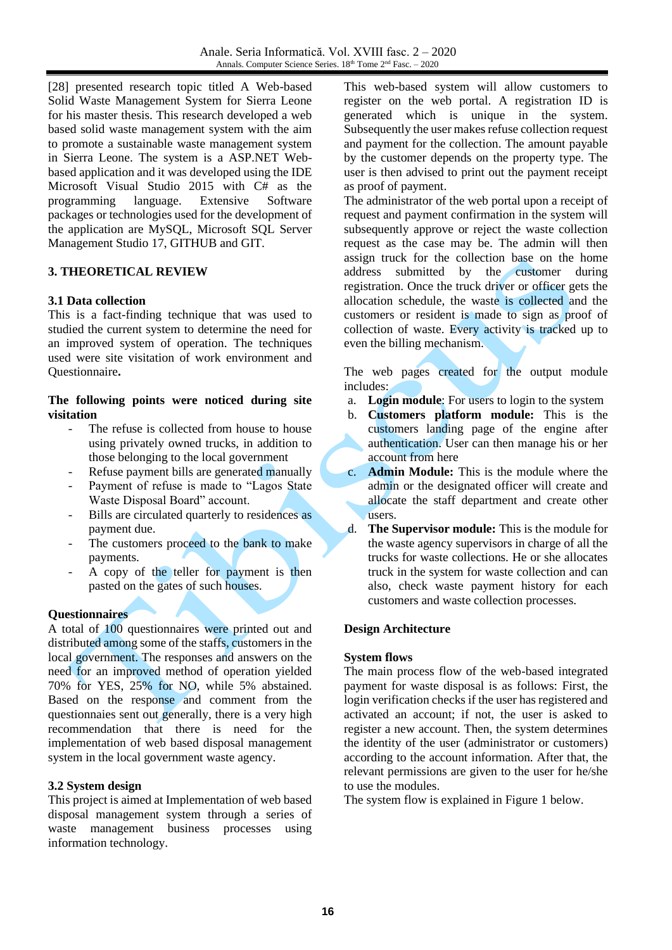[\[28\]](#page-7-4) presented research topic titled A Web-based Solid Waste Management System for Sierra Leone for his master thesis. This research developed a web based solid waste management system with the aim to promote a sustainable waste management system in Sierra Leone. The system is a ASP.NET Webbased application and it was developed using the IDE Microsoft Visual Studio 2015 with C# as the programming language. Extensive Software packages or technologies used for the development of the application are MySQL, Microsoft SQL Server Management Studio 17, GITHUB and GIT.

## **3. THEORETICAL REVIEW**

## **3.1 Data collection**

This is a fact-finding technique that was used to studied the current system to determine the need for an improved system of operation. The techniques used were site visitation of work environment and Questionnaire**.** 

### **The following points were noticed during site visitation**

- The refuse is collected from house to house using privately owned trucks, in addition to those belonging to the local government
- Refuse payment bills are generated manually
- Payment of refuse is made to "Lagos State" Waste Disposal Board" account.
- Bills are circulated quarterly to residences as payment due.
- The customers proceed to the bank to make payments.
- A copy of the teller for payment is then pasted on the gates of such houses.

## **Questionnaires**

A total of 100 questionnaires were printed out and distributed among some of the staffs, customers in the local government. The responses and answers on the need for an improved method of operation yielded 70% for YES, 25% for NO, while 5% abstained. Based on the response and comment from the questionnaies sent out generally, there is a very high recommendation that there is need for the implementation of web based disposal management system in the local government waste agency.

### **3.2 System design**

This project is aimed at Implementation of web based disposal management system through a series of waste management business processes using information technology.

This web-based system will allow customers to register on the web portal. A registration ID is generated which is unique in the system. Subsequently the user makes refuse collection request and payment for the collection. The amount payable by the customer depends on the property type. The user is then advised to print out the payment receipt as proof of payment.

The administrator of the web portal upon a receipt of request and payment confirmation in the system will subsequently approve or reject the waste collection request as the case may be. The admin will then assign truck for the collection base on the home address submitted by the customer during registration. Once the truck driver or officer gets the allocation schedule, the waste is collected and the customers or resident is made to sign as proof of collection of waste. Every activity is tracked up to even the billing mechanism.

The web pages created for the output module includes:

- a. **Login module**: For users to login to the system
- b. **Customers platform module:** This is the customers landing page of the engine after authentication. User can then manage his or her account from here
- c. **Admin Module:** This is the module where the admin or the designated officer will create and allocate the staff department and create other users.
- d. **The Supervisor module:** This is the module for the waste agency supervisors in charge of all the trucks for waste collections. He or she allocates truck in the system for waste collection and can also, check waste payment history for each customers and waste collection processes.

## **Design Architecture**

### **System flows**

The main process flow of the web-based integrated payment for waste disposal is as follows: First, the login verification checks if the user has registered and activated an account; if not, the user is asked to register a new account. Then, the system determines the identity of the user (administrator or customers) according to the account information. After that, the relevant permissions are given to the user for he/she to use the modules.

The system flow is explained in Figure 1 below.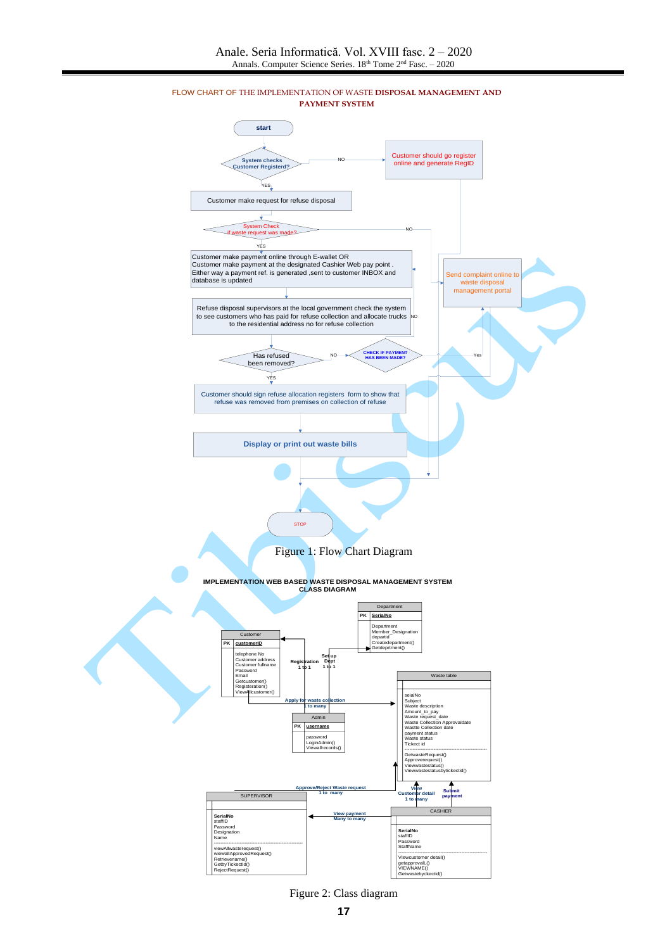

FLOW CHART OF THE IMPLEMENTATION OF WASTE **DISPOSAL MANAGEMENT AND PAYMENT SYSTEM**

Figure 2: Class diagram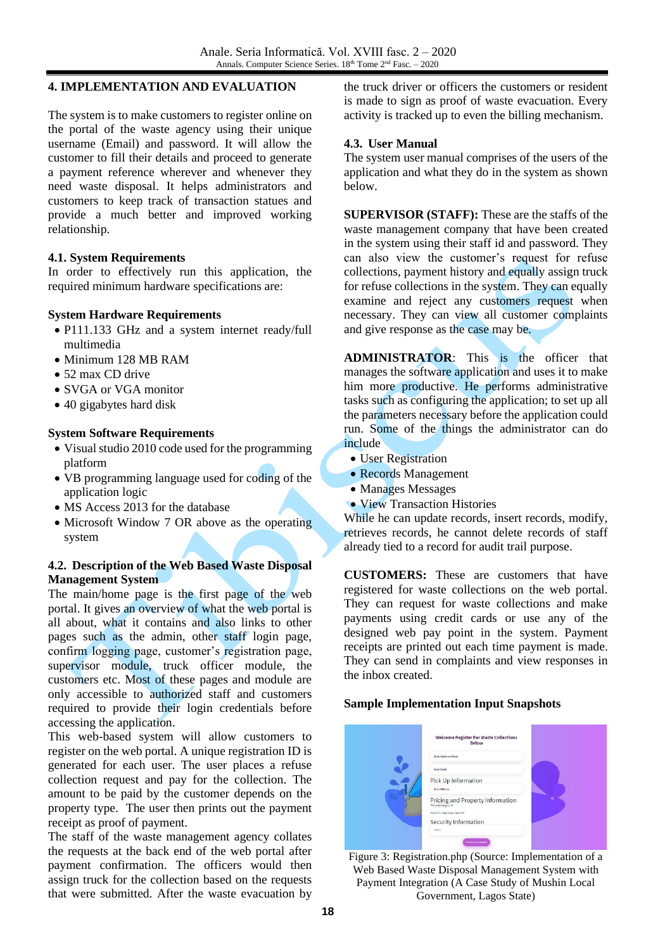### **4. IMPLEMENTATION AND EVALUATION**

The system is to make customers to register online on the portal of the waste agency using their unique username (Email) and password. It will allow the customer to fill their details and proceed to generate a payment reference wherever and whenever they need waste disposal. It helps administrators and customers to keep track of transaction statues and provide a much better and improved working relationship.

#### **4.1. System Requirements**

In order to effectively run this application, the required minimum hardware specifications are:

#### **System Hardware Requirements**

- P111.133 GHz and a system internet ready/full multimedia
- Minimum 128 MB RAM
- 52 max CD drive
- SVGA or VGA monitor
- 40 gigabytes hard disk

#### **System Software Requirements**

- Visual studio 2010 code used for the programming platform
- VB programming language used for coding of the application logic
- MS Access 2013 for the database
- Microsoft Window 7 OR above as the operating system

### **4.2. Description of the Web Based Waste Disposal Management System**

The main/home page is the first page of the web portal. It gives an overview of what the web portal is all about, what it contains and also links to other pages such as the admin, other staff login page, confirm logging page, customer's registration page, supervisor module, truck officer module, the customers etc. Most of these pages and module are only accessible to authorized staff and customers required to provide their login credentials before accessing the application.

This web-based system will allow customers to register on the web portal. A unique registration ID is generated for each user. The user places a refuse collection request and pay for the collection. The amount to be paid by the customer depends on the property type. The user then prints out the payment receipt as proof of payment.

The staff of the waste management agency collates the requests at the back end of the web portal after payment confirmation. The officers would then assign truck for the collection based on the requests that were submitted. After the waste evacuation by

the truck driver or officers the customers or resident is made to sign as proof of waste evacuation. Every activity is tracked up to even the billing mechanism.

#### **4.3. User Manual**

The system user manual comprises of the users of the application and what they do in the system as shown below.

**SUPERVISOR (STAFF):** These are the staffs of the waste management company that have been created in the system using their staff id and password. They can also view the customer's request for refuse collections, payment history and equally assign truck for refuse collections in the system. They can equally examine and reject any customers request when necessary. They can view all customer complaints and give response as the case may be.

**ADMINISTRATOR**: This is the officer that manages the software application and uses it to make him more productive. He performs administrative tasks such as configuring the application; to set up all the parameters necessary before the application could run. Some of the things the administrator can do include

- User Registration
- Records Management
- Manages Messages
- View Transaction Histories

While he can update records, insert records, modify, retrieves records, he cannot delete records of staff already tied to a record for audit trail purpose.

**CUSTOMERS:** These are customers that have registered for waste collections on the web portal. They can request for waste collections and make payments using credit cards or use any of the designed web pay point in the system. Payment receipts are printed out each time payment is made. They can send in complaints and view responses in the inbox created.

#### **Sample Implementation Input Snapshots**



Figure 3: Registration.php (Source: Implementation of a Web Based Waste Disposal Management System with Payment Integration (A Case Study of Mushin Local Government, Lagos State)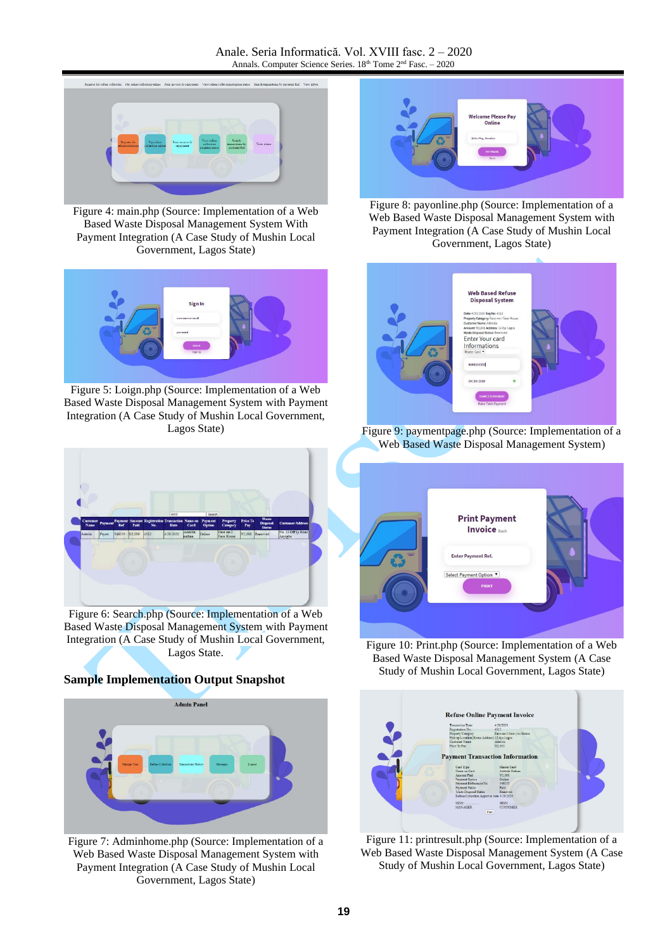

Figure 4: main.php (Source: Implementation of a Web Based Waste Disposal Management System With Payment Integration (A Case Study of Mushin Local Government, Lagos State)



Figure 5: Loign.php (Source: Implementation of a Web Based Waste Disposal Management System with Payment Integration (A Case Study of Mushin Local Government, Lagos State)



Figure 8: payonline.php (Source: Implementation of a Web Based Waste Disposal Management System with Payment Integration (A Case Study of Mushin Local Government, Lagos State)



Figure 9: paymentpage.php (Source: Implementation of a Web Based Waste Disposal Management System)



Figure 6: Search.php (Source: Implementation of a Web Based Waste Disposal Management System with Payment Integration (A Case Study of Mushin Local Government, Lagos State.

## **Sample Implementation Output Snapshot**



Figure 7: Adminhome.php (Source: Implementation of a Web Based Waste Disposal Management System with Payment Integration (A Case Study of Mushin Local Government, Lagos State)



Figure 10: Print.php (Source: Implementation of a Web Based Waste Disposal Management System (A Case Study of Mushin Local Government, Lagos State)



Figure 11: printresult.php (Source: Implementation of a Web Based Waste Disposal Management System (A Case Study of Mushin Local Government, Lagos State)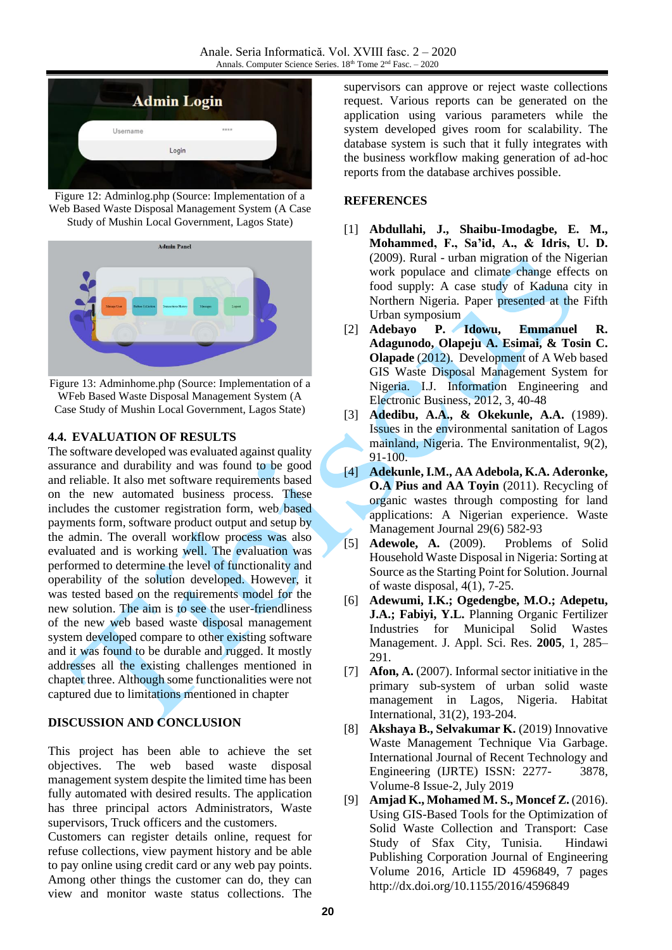

Figure 12: Adminlog.php (Source: Implementation of a Web Based Waste Disposal Management System (A Case Study of Mushin Local Government, Lagos State)



Figure 13: Adminhome.php (Source: Implementation of a WFeb Based Waste Disposal Management System (A Case Study of Mushin Local Government, Lagos State)

## **4.4. EVALUATION OF RESULTS**

The software developed was evaluated against quality assurance and durability and was found to be good and reliable. It also met software requirements based on the new automated business process. These includes the customer registration form, web based payments form, software product output and setup by the admin. The overall workflow process was also evaluated and is working well. The evaluation was performed to determine the level of functionality and operability of the solution developed. However, it was tested based on the requirements model for the new solution. The aim is to see the user-friendliness of the new web based waste disposal management system developed compare to other existing software and it was found to be durable and rugged. It mostly addresses all the existing challenges mentioned in chapter three. Although some functionalities were not captured due to limitations mentioned in chapter

### **DISCUSSION AND CONCLUSION**

This project has been able to achieve the set objectives. The web based waste disposal management system despite the limited time has been fully automated with desired results. The application has three principal actors Administrators, Waste supervisors, Truck officers and the customers.

Customers can register details online, request for refuse collections, view payment history and be able to pay online using credit card or any web pay points. Among other things the customer can do, they can view and monitor waste status collections. The supervisors can approve or reject waste collections request. Various reports can be generated on the application using various parameters while the system developed gives room for scalability. The database system is such that it fully integrates with the business workflow making generation of ad-hoc reports from the database archives possible.

### **REFERENCES**

- [1] **Abdullahi, J., Shaibu-Imodagbe, E. M., Mohammed, F., Sa'id, A., & Idris, U. D.** (2009). Rural - urban migration of the Nigerian work populace and climate change effects on food supply: A case study of Kaduna city in Northern Nigeria. Paper presented at the Fifth Urban symposium
- [2] **Adebayo P. Idowu, Emmanuel R. Adagunodo, Olapeju A. Esimai, & Tosin C. Olapade** (2012). Development of A Web based GIS Waste Disposal Management System for Nigeria. I.J. Information Engineering and Electronic Business, 2012, 3, 40-48
- [3] **Adedibu, A.A., & Okekunle, A.A.** (1989). Issues in the environmental sanitation of Lagos mainland, Nigeria. The Environmentalist, 9(2), 91-100.
- <span id="page-6-0"></span>[4] **Adekunle, I.M., AA Adebola, K.A. Aderonke, O.A Pius and AA Toyin** (2011). Recycling of organic wastes through composting for land applications: A Nigerian experience. Waste Management Journal 29(6) 582-93
- [5] **Adewole, A.** (2009). Problems of Solid Household Waste Disposal in Nigeria: Sorting at Source as the Starting Point for Solution. Journal of waste disposal, 4(1), 7-25.
- [6] **Adewumi, I.K.; Ogedengbe, M.O.; Adepetu, J.A.; Fabiyi, Y.L.** Planning Organic Fertilizer Industries for Municipal Solid Wastes Management. J. Appl. Sci. Res. **2005**, 1, 285– 291.
- [7] **Afon, A.** (2007). Informal sector initiative in the primary sub-system of urban solid waste management in Lagos, Nigeria. Habitat International, 31(2), 193-204.
- <span id="page-6-1"></span>[8] **Akshaya B., Selvakumar K.** (2019) Innovative Waste Management Technique Via Garbage. International Journal of Recent Technology and Engineering (IJRTE) ISSN: 2277- 3878, Volume-8 Issue-2, July 2019
- [9] **Amjad K., Mohamed M. S., Moncef Z.** (2016). Using GIS-Based Tools for the Optimization of Solid Waste Collection and Transport: Case Study of Sfax City, Tunisia. Hindawi Publishing Corporation Journal of Engineering Volume 2016, Article ID 4596849, 7 pages http://dx.doi.org/10.1155/2016/4596849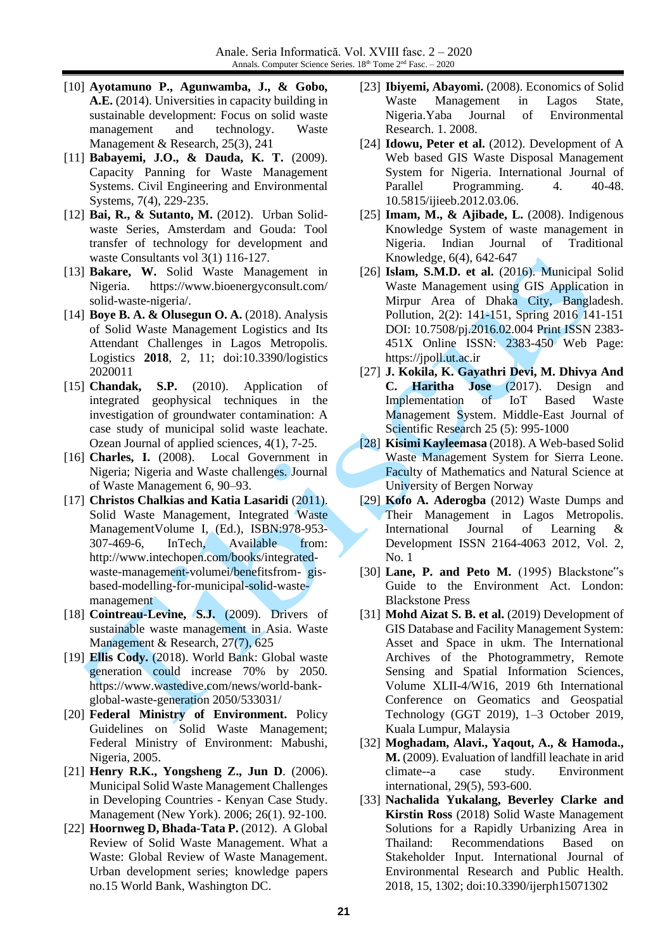- [10] **Ayotamuno P., Agunwamba, J., & Gobo, A.E.** (2014). Universities in capacity building in sustainable development: Focus on solid waste management and technology. Waste Management & Research, 25(3), 241
- [11] **Babayemi, J.O., & Dauda, K. T.** (2009). Capacity Panning for Waste Management Systems. Civil Engineering and Environmental Systems, 7(4), 229-235.
- [12] **Bai, R., & Sutanto, M.** (2012). Urban Solidwaste Series, Amsterdam and Gouda: Tool transfer of technology for development and waste Consultants vol 3(1) 116-127.
- [13] **Bakare, W.** Solid Waste Management in Nigeria. https://www.bioenergyconsult.com/ solid-waste-nigeria/.
- [14] **Boye B. A. & Olusegun O. A.** (2018). Analysis of Solid Waste Management Logistics and Its Attendant Challenges in Lagos Metropolis. Logistics **2018**, 2, 11; doi:10.3390/logistics 2020011
- [15] **Chandak, S.P.** (2010). Application of integrated geophysical techniques in the investigation of groundwater contamination: A case study of municipal solid waste leachate. Ozean Journal of applied sciences, 4(1), 7-25.
- [16] **Charles, I.** (2008). Local Government in Nigeria; Nigeria and Waste challenges. Journal of Waste Management 6, 90–93.
- <span id="page-7-0"></span>[17] **Christos Chalkias and Katia Lasaridi** (2011). Solid Waste Management, Integrated Waste ManagementVolume I, (Ed.), ISBN:978-953- 307-469-6, InTech, Available from: http://www.intechopen.com/books/integratedwaste-management-volumei/benefitsfrom- gisbased-modelling-for-municipal-solid-wastemanagement
- [18] **Cointreau-Levine, S.J.** (2009). Drivers of sustainable waste management in Asia. Waste Management & Research, 27(7), 625
- <span id="page-7-1"></span>[19] **Ellis Cody.** (2018). World Bank: Global waste generation could increase 70% by 2050. https://www.wastedive.com/news/world-bankglobal-waste-generation 2050/533031/
- [20] **Federal Ministry of Environment.** Policy Guidelines on Solid Waste Management; Federal Ministry of Environment: Mabushi, Nigeria, 2005.
- [21] **Henry R.K., Yongsheng Z., Jun D**. (2006). Municipal Solid Waste Management Challenges in Developing Countries - Kenyan Case Study. Management (New York). 2006; 26(1). 92-100.
- <span id="page-7-2"></span>[22] **Hoornweg D, Bhada-Tata P.** (2012). A Global Review of Solid Waste Management. What a Waste: Global Review of Waste Management. Urban development series; knowledge papers no.15 World Bank, Washington DC.
- [23] **Ibiyemi, Abayomi.** (2008). Economics of Solid Waste Management in Lagos State, Nigeria.Yaba Journal of Environmental Research. 1. 2008.
- <span id="page-7-3"></span>[24] **Idowu, Peter et al.** (2012). Development of A Web based GIS Waste Disposal Management System for Nigeria. International Journal of Parallel Programming. 4. 40-48. 10.5815/ijieeb.2012.03.06.
- [25] **Imam, M., & Ajibade, L.** (2008). Indigenous Knowledge System of waste management in Nigeria. Indian Journal of Traditional Knowledge, 6(4), 642-647
- [26] **Islam, S.M.D. et al.** (2016). Municipal Solid Waste Management using GIS Application in Mirpur Area of Dhaka City, Bangladesh. Pollution, 2(2): 141-151, Spring 2016 141-151 DOI: 10.7508/pj.2016.02.004 Print ISSN 2383- 451X Online ISSN: 2383-450 Web Page: https://jpoll.ut.ac.ir
- [27] **J. Kokila, K. Gayathri Devi, M. Dhivya And C. Haritha Jose** (2017). Design and Implementation of IoT Based Waste Management System. Middle-East Journal of Scientific Research 25 (5): 995-1000
- <span id="page-7-4"></span>[28] **Kisimi Kayleemasa** (2018). A Web-based Solid Waste Management System for Sierra Leone. Faculty of Mathematics and Natural Science at University of Bergen Norway
- [29] **Kofo A. Aderogba** (2012) Waste Dumps and Their Management in Lagos Metropolis. International Journal of Learning & Development ISSN 2164-4063 2012, Vol. 2, No. 1
- [30] **Lane, P. and Peto M.** (1995) Blackstone"s Guide to the Environment Act. London: Blackstone Press
- [31] **Mohd Aizat S. B. et al.** (2019) Development of GIS Database and Facility Management System: Asset and Space in ukm. The International Archives of the Photogrammetry, Remote Sensing and Spatial Information Sciences, Volume XLII-4/W16, 2019 6th International Conference on Geomatics and Geospatial Technology (GGT 2019), 1–3 October 2019, Kuala Lumpur, Malaysia
- [32] **Moghadam, Alavi., Yaqout, A., & Hamoda., M.** (2009). Evaluation of landfill leachate in arid climate--a case study. Environment international, 29(5), 593-600.
- [33] **Nachalida Yukalang, Beverley Clarke and Kirstin Ross** (2018) Solid Waste Management Solutions for a Rapidly Urbanizing Area in Thailand: Recommendations Based on Stakeholder Input. International Journal of Environmental Research and Public Health. 2018, 15, 1302; doi:10.3390/ijerph15071302